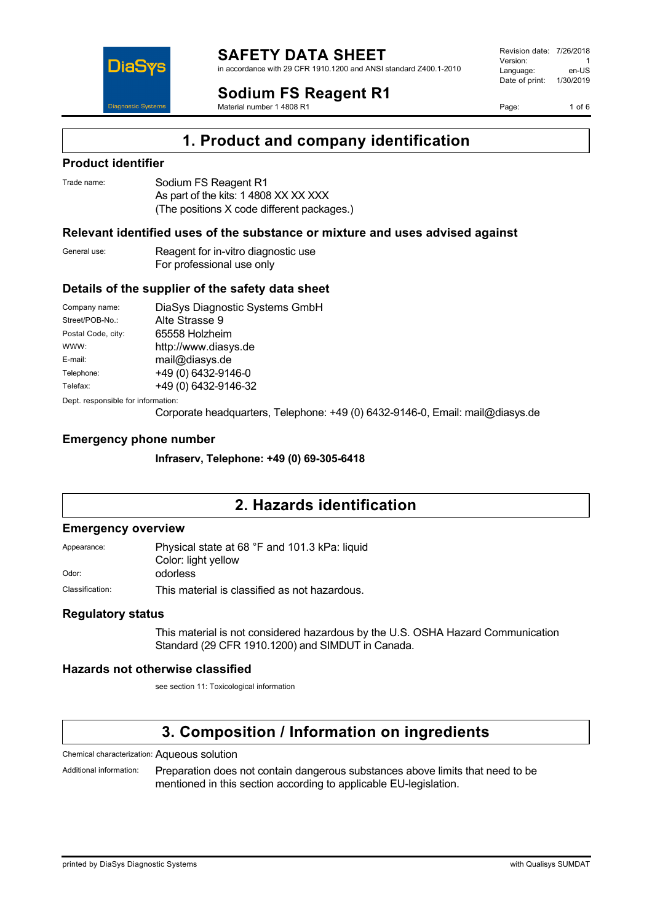

in accordance with 29 CFR 1910.1200 and ANSI standard Z400.1-2010

## **Sodium FS Reagent R1**

Material number 1 4808 R1

Revision date: 7/26/2018 Version: 1<br>Language: en-LIS Language: Date of print: 1/30/2019

Page: 1 of 6



### **Product identifier**

DiaS

**Diagnostic Syste** 

| Trade name: | Sodium FS Reagent R1                       |
|-------------|--------------------------------------------|
|             | As part of the kits: 1 4808 XX XX XXX      |
|             | (The positions X code different packages.) |

### **Relevant identified uses of the substance or mixture and uses advised against**

| General use: | Reagent for in-vitro diagnostic use |
|--------------|-------------------------------------|
|              | For professional use only           |

### **Details of the supplier of the safety data sheet**

| Company name:                      | DiaSys Diagnostic Systems GmbH |  |
|------------------------------------|--------------------------------|--|
| Street/POB-No.:                    | Alte Strasse 9                 |  |
| Postal Code, city:                 | 65558 Holzheim                 |  |
| WWW:                               | http://www.diasys.de           |  |
| E-mail:                            | mail@diasys.de                 |  |
| Telephone:                         | +49 (0) 6432-9146-0            |  |
| Telefax:                           | +49 (0) 6432-9146-32           |  |
| Dept. responsible for information: |                                |  |

Corporate headquarters, Telephone: +49 (0) 6432-9146-0, Email: mail@diasys.de

### **Emergency phone number**

**Infraserv, Telephone: +49 (0) 69-305-6418**

## **2. Hazards identification**

### **Emergency overview**

Appearance: Physical state at 68 °F and 101.3 kPa: liquid Color: light yellow

Odor: odorless

Classification: This material is classified as not hazardous.

#### **Regulatory status**

This material is not considered hazardous by the U.S. OSHA Hazard Communication Standard (29 CFR 1910.1200) and SIMDUT in Canada.

#### **Hazards not otherwise classified**

see section 11: Toxicological information

# **3. Composition / Information on ingredients**

Chemical characterization: Aqueous solution

Additional information: Preparation does not contain dangerous substances above limits that need to be mentioned in this section according to applicable EU-legislation.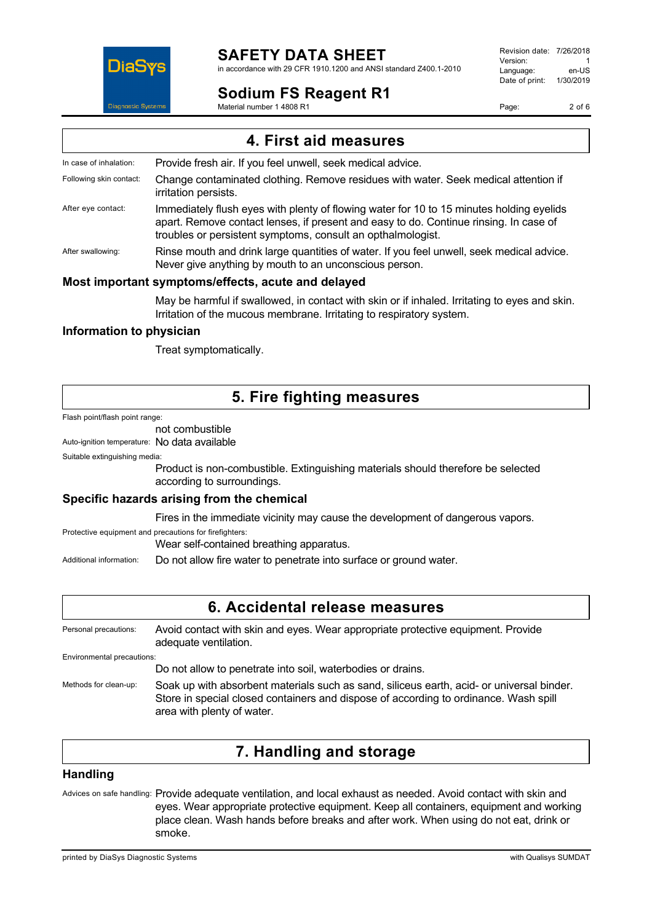

# **SAFETY DATA SHEET**

in accordance with 29 CFR 1910.1200 and ANSI standard Z400.1-2010

## **Sodium FS Reagent R1**

Material number 1 4808 R1

Revision date: 7/26/2018 Version: 1<br>I anguage: 1 en-US Language: Date of print: 1/30/2019

Page: 2 of 6

**4. First aid measures** In case of inhalation: Provide fresh air. If you feel unwell, seek medical advice. Following skin contact: Change contaminated clothing. Remove residues with water. Seek medical attention if irritation persists. After eye contact: Immediately flush eyes with plenty of flowing water for 10 to 15 minutes holding eyelids apart. Remove contact lenses, if present and easy to do. Continue rinsing. In case of troubles or persistent symptoms, consult an opthalmologist. After swallowing: Rinse mouth and drink large quantities of water. If you feel unwell, seek medical advice. Never give anything by mouth to an unconscious person. **Most important symptoms/effects, acute and delayed**

May be harmful if swallowed, in contact with skin or if inhaled. Irritating to eyes and skin. Irritation of the mucous membrane. Irritating to respiratory system.

### **Information to physician**

Treat symptomatically.

## **5. Fire fighting measures**

Flash point/flash point range:

## not combustible

Auto-ignition temperature: No data available

Suitable extinguishing media:

Product is non-combustible. Extinguishing materials should therefore be selected according to surroundings.

### **Specific hazards arising from the chemical**

Fires in the immediate vicinity may cause the development of dangerous vapors.

Protective equipment and precautions for firefighters: Wear self-contained breathing apparatus.

Additional information: Do not allow fire water to penetrate into surface or ground water.

## **6. Accidental release measures**

Personal precautions: Avoid contact with skin and eyes. Wear appropriate protective equipment. Provide adequate ventilation. Environmental precautions: Do not allow to penetrate into soil, waterbodies or drains.

Methods for clean-up: Soak up with absorbent materials such as sand, siliceus earth, acid- or universal binder. Store in special closed containers and dispose of according to ordinance. Wash spill area with plenty of water.

## **7. Handling and storage**

### **Handling**

Advices on safe handling: Provide adequate ventilation, and local exhaust as needed. Avoid contact with skin and eyes. Wear appropriate protective equipment. Keep all containers, equipment and working place clean. Wash hands before breaks and after work. When using do not eat, drink or smoke.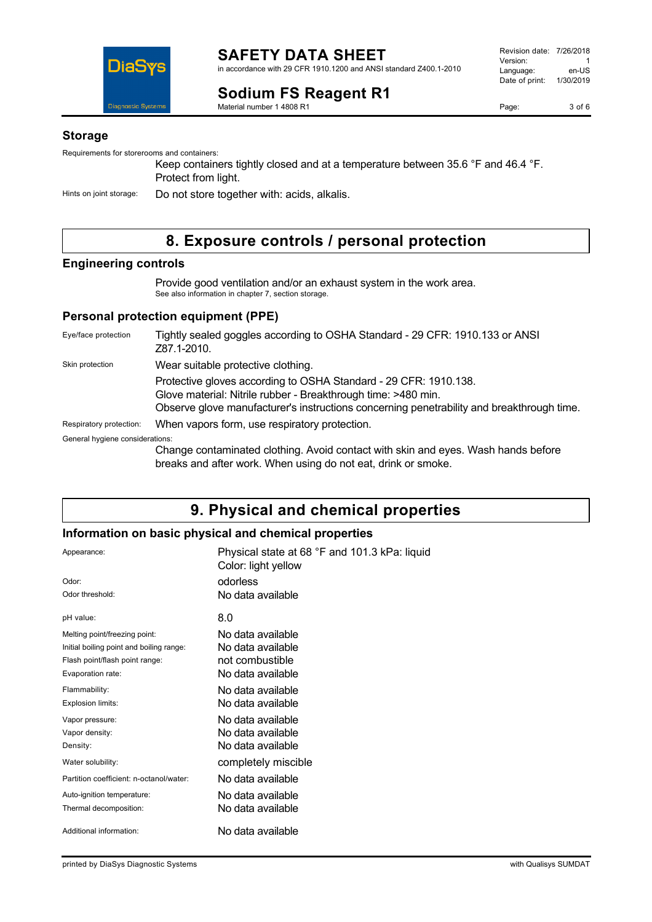

# **Sodium FS Reagent R1**

Revision date: 7/26/2018 Version: 1<br>Language: en-LIS Language: Date of print: 1/30/2019

Material number 1 4808 R1

### **Storage**

Requirements for storerooms and containers:

Keep containers tightly closed and at a temperature between 35.6 °F and 46.4 °F. Protect from light.

Hints on joint storage: Do not store together with: acids, alkalis.

# **8. Exposure controls / personal protection**

## **Engineering controls**

Provide good ventilation and/or an exhaust system in the work area. See also information in chapter 7, section storage.

### **Personal protection equipment (PPE)**

| Eye/face protection             | Tightly sealed goggles according to OSHA Standard - 29 CFR: 1910.133 or ANSI<br>Z87.1-2010.                                                                                                                                    |
|---------------------------------|--------------------------------------------------------------------------------------------------------------------------------------------------------------------------------------------------------------------------------|
| Skin protection                 | Wear suitable protective clothing.                                                                                                                                                                                             |
|                                 | Protective gloves according to OSHA Standard - 29 CFR: 1910.138.<br>Glove material: Nitrile rubber - Breakthrough time: >480 min.<br>Observe glove manufacturer's instructions concerning penetrability and breakthrough time. |
| Respiratory protection:         | When vapors form, use respiratory protection.                                                                                                                                                                                  |
| General hygiene considerations: |                                                                                                                                                                                                                                |
|                                 | Change contaminated clothing. Avoid contact with skin and eyes. Wash hands before<br>breaks and after work. When using do not eat, drink or smoke.                                                                             |

## **9. Physical and chemical properties**

### **Information on basic physical and chemical properties**

| Appearance:<br>Odor:<br>Odor threshold:                                                                                          | Physical state at 68 °F and 101.3 kPa: liquid<br>Color: light yellow<br>odorless<br>No data available |
|----------------------------------------------------------------------------------------------------------------------------------|-------------------------------------------------------------------------------------------------------|
| pH value:                                                                                                                        | 8.0                                                                                                   |
| Melting point/freezing point:<br>Initial boiling point and boiling range:<br>Flash point/flash point range:<br>Evaporation rate: | No data available<br>No data available<br>not combustible<br>No data available                        |
| Flammability:<br>Explosion limits:                                                                                               | No data available<br>No data available                                                                |
| Vapor pressure:<br>Vapor density:<br>Density:                                                                                    | No data available<br>No data available<br>No data available                                           |
| Water solubility:                                                                                                                | completely miscible                                                                                   |
| Partition coefficient: n-octanol/water:                                                                                          | No data available                                                                                     |
| Auto-ignition temperature:<br>Thermal decomposition:                                                                             | No data available<br>No data available                                                                |
| Additional information:                                                                                                          | No data available                                                                                     |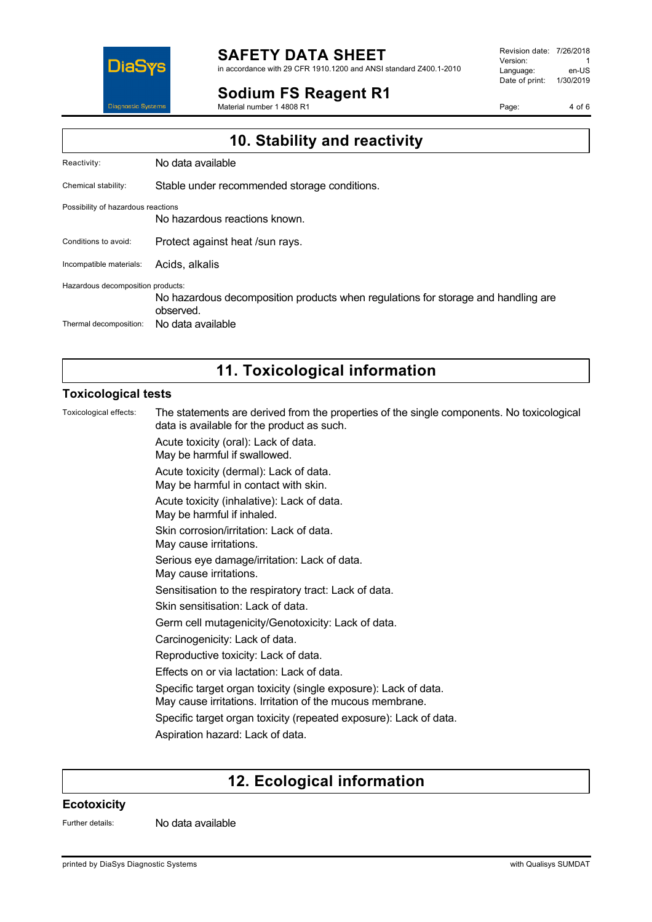

#### **SAFETY DATA SHEET** in accordance with 29 CFR 1910.1200 and ANSI standard Z400.1-2010

**Sodium FS Reagent R1**

Material number 1 4808 R1

Revision date: 7/26/2018 Version: 1<br>Language: en-LIS Language: Date of print: 1/30/2019

Page: 4 of 6

| 10. Stability and reactivity       |                                                                                                |  |
|------------------------------------|------------------------------------------------------------------------------------------------|--|
| Reactivity:                        | No data available                                                                              |  |
| Chemical stability:                | Stable under recommended storage conditions.                                                   |  |
| Possibility of hazardous reactions | No hazardous reactions known.                                                                  |  |
| Conditions to avoid:               | Protect against heat /sun rays.                                                                |  |
| Incompatible materials:            | Acids, alkalis                                                                                 |  |
| Hazardous decomposition products:  | No hazardous decomposition products when regulations for storage and handling are<br>observed. |  |
| Thermal decomposition:             | No data available                                                                              |  |

# **11. Toxicological information**

### **Toxicological tests**

Toxicological effects: The statements are derived from the properties of the single components. No toxicological data is available for the product as such. Acute toxicity (oral): Lack of data. May be harmful if swallowed. Acute toxicity (dermal): Lack of data. May be harmful in contact with skin. Acute toxicity (inhalative): Lack of data. May be harmful if inhaled. Skin corrosion/irritation: Lack of data. May cause irritations. Serious eye damage/irritation: Lack of data. May cause irritations. Sensitisation to the respiratory tract: Lack of data. Skin sensitisation: Lack of data. Germ cell mutagenicity/Genotoxicity: Lack of data. Carcinogenicity: Lack of data. Reproductive toxicity: Lack of data. Effects on or via lactation: Lack of data. Specific target organ toxicity (single exposure): Lack of data. May cause irritations. Irritation of the mucous membrane. Specific target organ toxicity (repeated exposure): Lack of data. Aspiration hazard: Lack of data.

## **12. Ecological information**

#### **Ecotoxicity**

Further details: No data available

printed by DiaSys Diagnostic Systems with Qualisys SUMDAT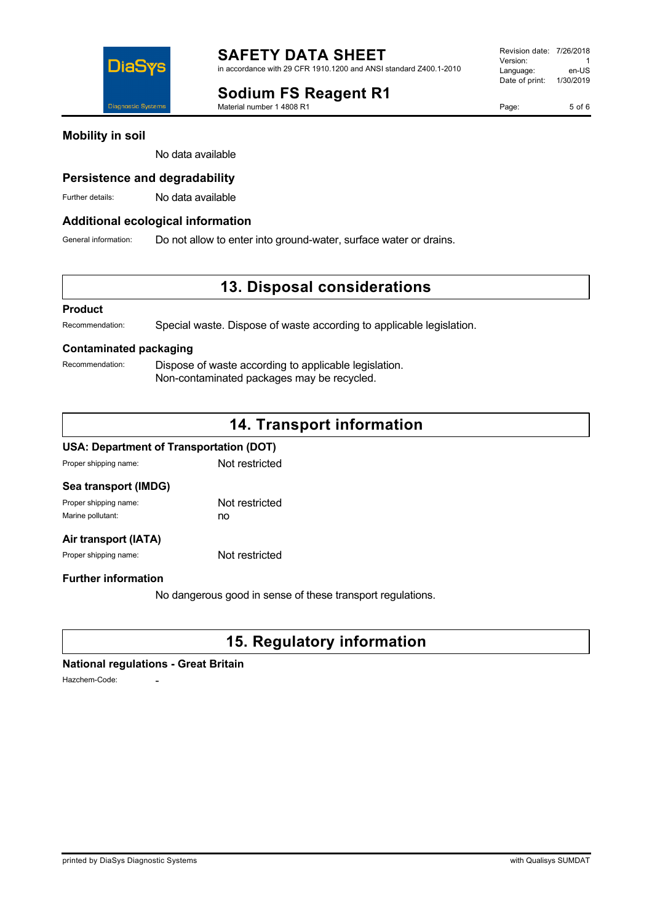**Sodium FS Reagent R1**

Material number 1 4808 R1

Page: 5 of 6

No data available

### **Persistence and degradability**

Further details: No data available

### **Additional ecological information**

General information: Do not allow to enter into ground-water, surface water or drains.

## **13. Disposal considerations**

#### **Product**

Recommendation: Special waste. Dispose of waste according to applicable legislation.

### **Contaminated packaging**

Recommendation: Dispose of waste according to applicable legislation. Non-contaminated packages may be recycled.

# **14. Transport information**

#### **USA: Department of Transportation (DOT)**

Proper shipping name: Not restricted

| Sea transport (IMDG)  |                |
|-----------------------|----------------|
| Proper shipping name: | Not restricted |
| Marine pollutant:     | no             |
|                       |                |

### **Air transport (IATA)**

Proper shipping name: Not restricted

### **Further information**

No dangerous good in sense of these transport regulations.

# **15. Regulatory information**

#### **National regulations - Great Britain**

Hazchem-Code: